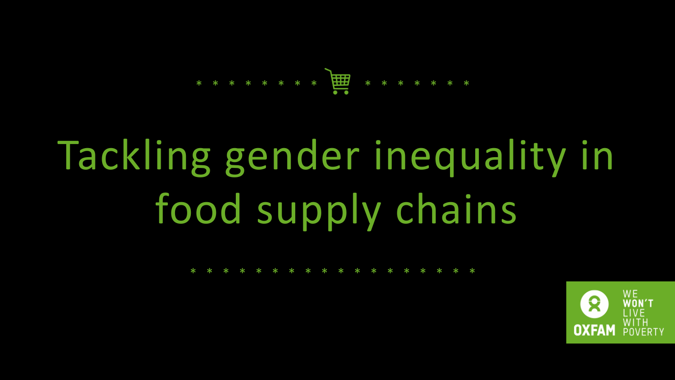# Tackling gender inequality in food supply chains



| * * * * * * * * * * * * * * * * * * |  |  |  |  |  |  |  |  |  |
|-------------------------------------|--|--|--|--|--|--|--|--|--|
|                                     |  |  |  |  |  |  |  |  |  |

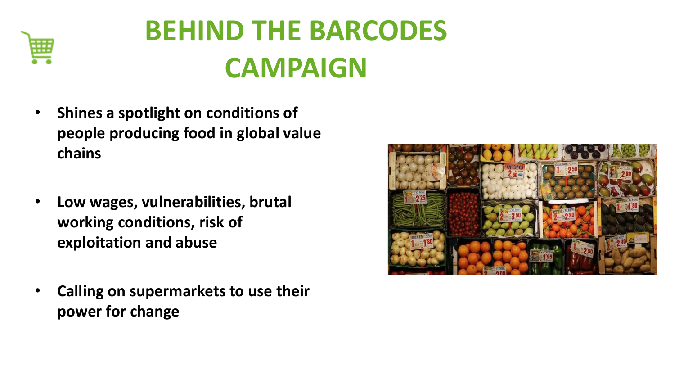

# **BEHIND THE BARCODES CAMPAIGN**

- **Shines a spotlight on conditions of people producing food in global value chains**
- **Low wages, vulnerabilities, brutal working conditions, risk of exploitation and abuse**
- **Calling on supermarkets to use their power for change**

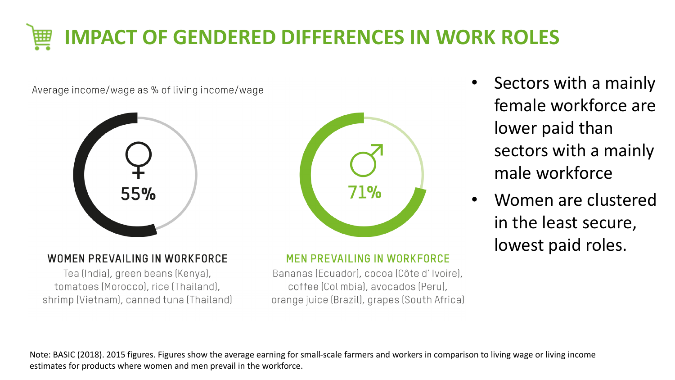

Average income/wage as % of living income/wage





### **WOMEN PREVAILING IN WORKFORCE**

Tea (India), green beans (Kenya), tomatoes (Morocco), rice (Thailand), shrimp (Vietnam), canned tuna (Thailand) **MEN PREVAILING IN WORKFORCE** 

Bananas (Ecuador), cocoa (Côte d'Ivoire), coffee (Col mbia), avocados (Peru), orange juice (Brazil), grapes (South Africa)

- Sectors with a mainly female workforce are lower paid than sectors with a mainly male workforce
- Women are clustered in the least secure, lowest paid roles.

Note: BASIC (2018). 2015 figures. Figures show the average earning for small-scale farmers and workers in comparison to living wage or living income estimates for products where women and men prevail in the workforce.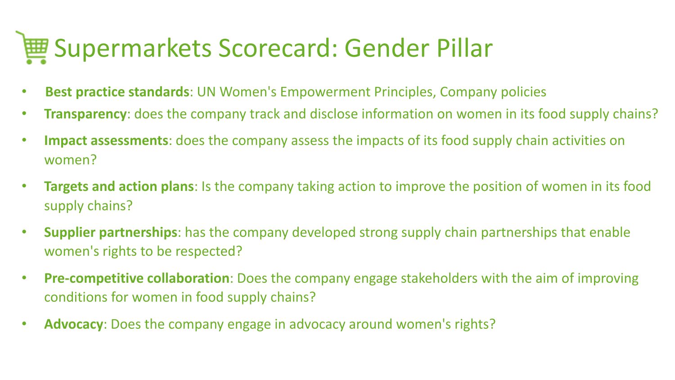# Supermarkets Scorecard: Gender Pillar

- **Best practice standards**: UN Women's Empowerment Principles, Company policies
- **Transparency**: does the company track and disclose information on women in its food supply chains?
- **Impact assessments**: does the company assess the impacts of its food supply chain activities on women?
- **Targets and action plans**: Is the company taking action to improve the position of women in its food supply chains?
- **Supplier partnerships**: has the company developed strong supply chain partnerships that enable women's rights to be respected?
- **Pre-competitive collaboration**: Does the company engage stakeholders with the aim of improving conditions for women in food supply chains?
- **Advocacy**: Does the company engage in advocacy around women's rights?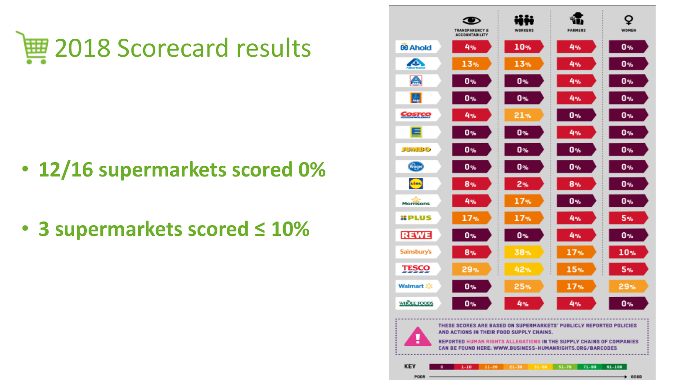

- **12/16 supermarkets scored 0%**
- **3 supermarkets scored ≤ 10%**

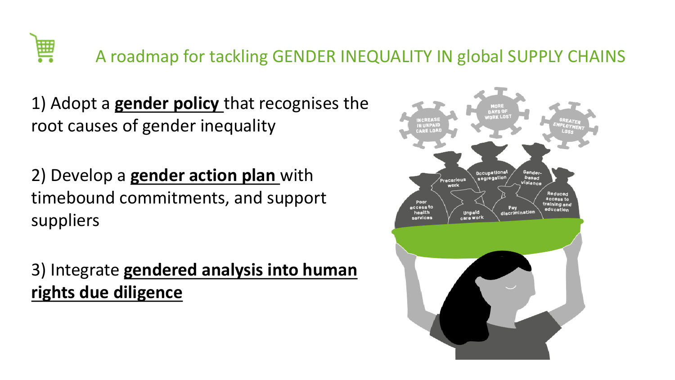

1) Adopt a **gender policy** that recognises the root causes of gender inequality

2) Develop a **gender action plan** with timebound commitments, and support suppliers

3) Integrate **gendered analysis into human rights due diligence**

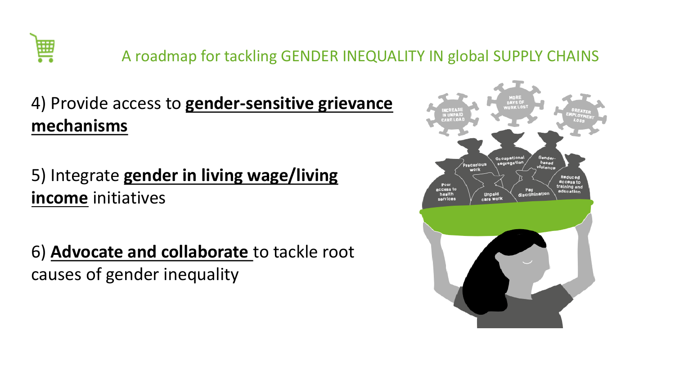

### 4) Provide access to **gender-sensitive grievance mechanisms**

### 5) Integrate **gender in living wage/living income** initiatives



6) **Advocate and collaborate** to tackle root causes of gender inequality

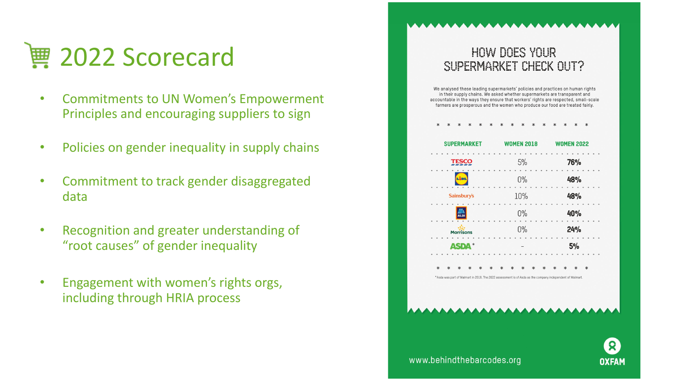

- Commitments to UN Women's Empowerment Principles and encouraging suppliers to sign
- Policies on gender inequality in supply chains
- Commitment to track gender disaggregated data
- Recognition and greater understanding of "root causes" of gender inequality
- Engagement with women's rights orgs, including through HRIA process

### HOW DOWN VOUR SUPERMARKET CHECK QUITY

We analysed these leading supermarkets' policies and practices on human rights in their supply chains. We asked whether supermarkets are transparent and accountable in the ways they ensure that workers' rights are respected, small-scale farmers are prosperous and the women who produce our food are treated fairly.

\* \* \* \* \* \* \* \* \* \* \* \* \* \*



\* Asda was part of Walmart in 2018. The 2022 assessment is of Asda as the company independent of Walmart.





### www.behindthebarcodes.org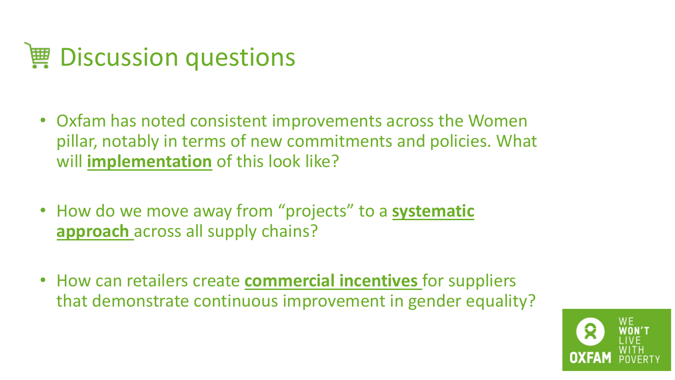# Discussion questions

- Oxfam has noted consistent improvements across the Women pillar, notably in terms of new commitments and policies. What will **implementation** of this look like?
- How do we move away from "projects" to a **systematic approach** across all supply chains?
- How can retailers create **commercial incentives** for suppliers that demonstrate continuous improvement in gender equality?